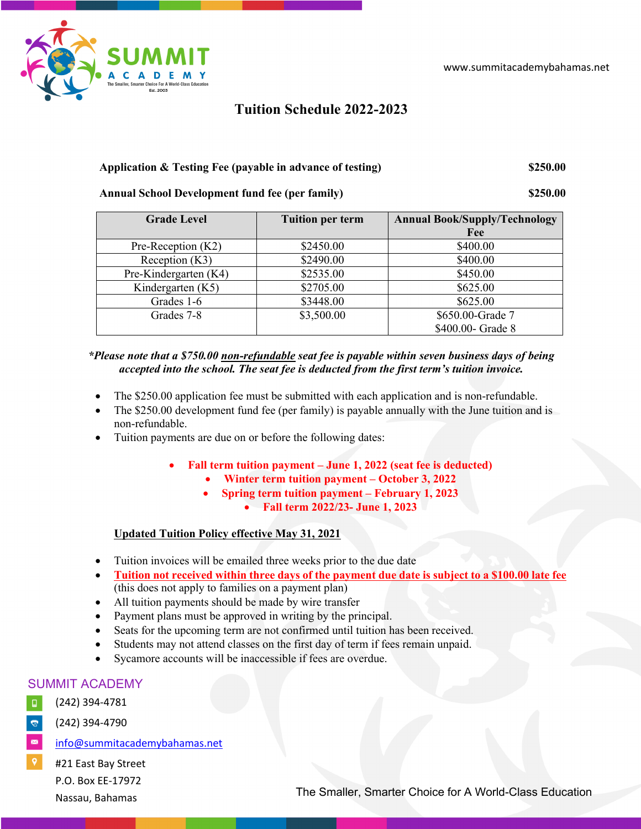

**Tuition Schedule 2022-2023**

## **Application & Testing Fee (payable in advance of testing) \$250.00**

# **Annual School Development fund fee (per family) \$250.00**

| <b>Grade Level</b>    | <b>Tuition per term</b> | <b>Annual Book/Supply/Technology</b><br>Fee |
|-----------------------|-------------------------|---------------------------------------------|
| Pre-Reception (K2)    | \$2450.00               | \$400.00                                    |
| Reception $(K3)$      | \$2490.00               | \$400.00                                    |
| Pre-Kindergarten (K4) | \$2535.00               | \$450.00                                    |
| Kindergarten (K5)     | \$2705.00               | \$625.00                                    |
| Grades 1-6            | \$3448.00               | \$625.00                                    |
| Grades 7-8            | \$3,500.00              | \$650.00-Grade 7                            |
|                       |                         | \$400.00- Grade 8                           |

## *\*Please note that a \$750.00 non-refundable seat fee is payable within seven business days of being*  accepted into the school. The seat fee is deducted from the first term's tuition *invoice*.

- The \$250.00 application fee must be submitted with each application and is non-refundable.
- The \$250.00 development fund fee (per family) is payable annually with the June tuition and is non-refundable.
- Tuition payments are due on or before the following dates:
	- **Fall term tuition payment – June 1, 2022 (seat fee is deducted)**
		- **Winter term tuition payment – October 3, 2022**
			- **Spring term tuition payment – February 1, 2023**
				- **Fall term 2022/23- June 1, 2023**

# **Updated Tuition Policy effective May 31, 2021**

- Tuition invoices will be emailed three weeks prior to the due date
- **Tuition not received within three days of the payment due date is subject to a \$100.00 late fee** (this does not apply to families on a payment plan)
- All tuition payments should be made by wire transfer
- Payment plans must be approved in writing by the principal.
- Seats for the upcoming term are not confirmed until tuition has been received.
- Students may not attend classes on the first day of term if fees remain unpaid.
- Sycamore accounts will be inaccessible if fees are overdue.

# SUMMIT ACADEMY

- $\Box$ (242) 394-4781
- $\mathbf{G}^{\dagger}$ (242) 394-4790
- $\blacksquare$ info@summitacademybahamas.net
- #21 East Bay Street P.O. Box EE-17972 Nassau, Bahamas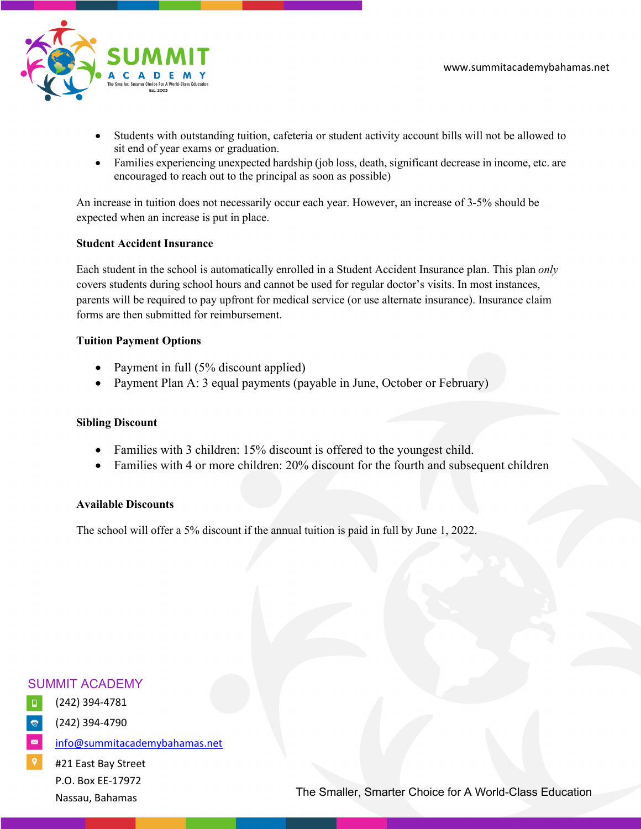

- Students with outstanding tuition, cafeteria or student activity account bills will not be allowed to sit end of year exams or graduation.
- Families experiencing unexpected hardship (job loss, death, significant decrease in income, etc. are encouraged to reach out to the principal as soon as possible)

An increase in tuition does not necessarily occur each year. However, an increase of 3-5% should be expected when an increase is put in place.

#### **Student Accident Insurance**

Each student in the school is automatically enrolled in a Student Accident Insurance plan. This plan *only*  covers students during school hours and cannot be used for regular doctor's visits. In most instances, parents will be required to pay upfront for medical service (or use alternate insurance). Insurance claim forms are then submitted for reimbursement.

### **Tuition Payment Options**

- Payment in full (5% discount applied)
- Payment Plan A: 3 equal payments (payable in June, October or February)

## **Sibling Discount**

- Families with 3 children: 15% discount is offered to the youngest child.
- Families with 4 or more children: 20% discount for the fourth and subsequent children

## **Available Discounts**

The school will offer a 5% discount if the annual tuition is paid in full by June 1, 2022.

# SUMMIT ACADEMY

- $\Box$ (242) 394-4781
	- (242) 394-4790
- $\blacksquare$ info@summitacademybahamas.net
- #21 East Bay Street P.O. Box EE-17972 Nassau, Bahamas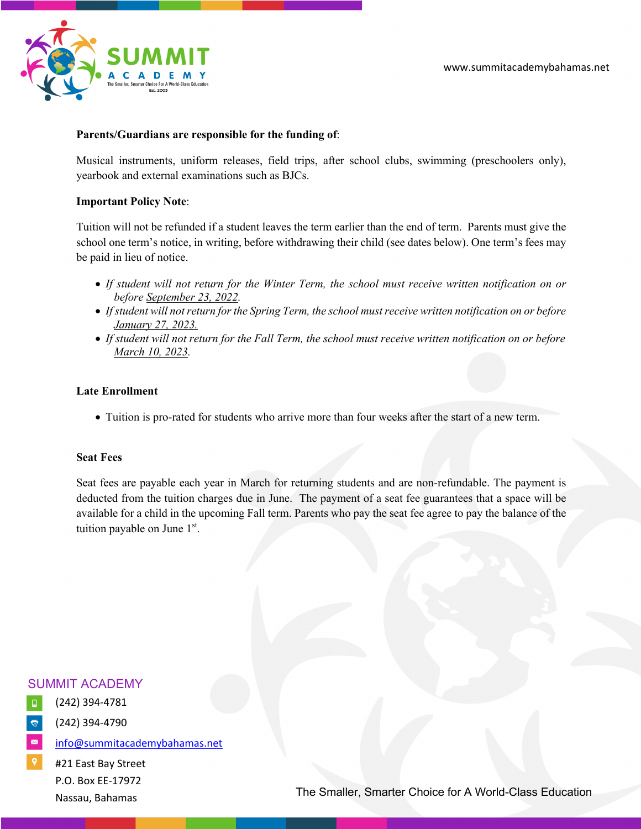



## **Parents/Guardians are responsible for the funding of**:

Musical instruments, uniform releases, field trips, after school clubs, swimming (preschoolers only), yearbook and external examinations such as BJCs.

#### **Important Policy Note**:

Tuition will not be refunded if a student leaves the term earlier than the end of term. Parents must give the school one term's notice, in writing, before withdrawing their child (see dates below). One term's fees may be paid in lieu of notice.

- *If student will not return for the Winter Term, the school must receive written notification on or before September 23, 2022.*
- *If student will not return for the Spring Term, the school must receive written notification on or before January 27, 2023.*
- *If student will not return for the Fall Term, the school must receive written notification on or before March 10, 2023.*

### **Late Enrollment**

• Tuition is pro-rated for students who arrive more than four weeks after the start of a new term.

#### **Seat Fees**

Seat fees are payable each year in March for returning students and are non-refundable. The payment is deducted from the tuition charges due in June. The payment of a seat fee guarantees that a space will be available for a child in the upcoming Fall term. Parents who pay the seat fee agree to pay the balance of the tuition payable on June 1<sup>st</sup>.



- $\Box$ (242) 394-4781
- (242) 394-4790
- $\blacksquare$ info@summitacademybahamas.net
- #21 East Bay Street P.O. Box EE-17972 Nassau, Bahamas